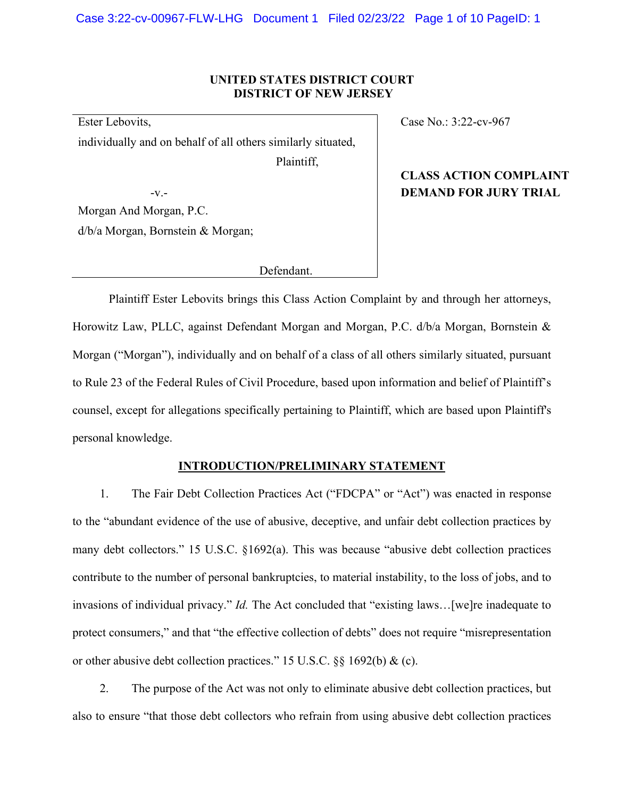# **UNITED STATES DISTRICT COURT DISTRICT OF NEW JERSEY**

Ester Lebovits, individually and on behalf of all others similarly situated,

Plaintiff,

Morgan And Morgan, P.C. d/b/a Morgan, Bornstein & Morgan;

Defendant.

Case No.: 3:22-cv-967

# **CLASS ACTION COMPLAINT** -v.- **DEMAND FOR JURY TRIAL**

Plaintiff Ester Lebovits brings this Class Action Complaint by and through her attorneys, Horowitz Law, PLLC, against Defendant Morgan and Morgan, P.C. d/b/a Morgan, Bornstein & Morgan ("Morgan"), individually and on behalf of a class of all others similarly situated, pursuant to Rule 23 of the Federal Rules of Civil Procedure, based upon information and belief of Plaintiff's counsel, except for allegations specifically pertaining to Plaintiff, which are based upon Plaintiff's personal knowledge.

## **INTRODUCTION/PRELIMINARY STATEMENT**

1. The Fair Debt Collection Practices Act ("FDCPA" or "Act") was enacted in response to the "abundant evidence of the use of abusive, deceptive, and unfair debt collection practices by many debt collectors." 15 U.S.C. §1692(a). This was because "abusive debt collection practices contribute to the number of personal bankruptcies, to material instability, to the loss of jobs, and to invasions of individual privacy." *Id.* The Act concluded that "existing laws…[we]re inadequate to protect consumers," and that "the effective collection of debts" does not require "misrepresentation or other abusive debt collection practices." 15 U.S.C. §§ 1692(b) & (c).

2. The purpose of the Act was not only to eliminate abusive debt collection practices, but also to ensure "that those debt collectors who refrain from using abusive debt collection practices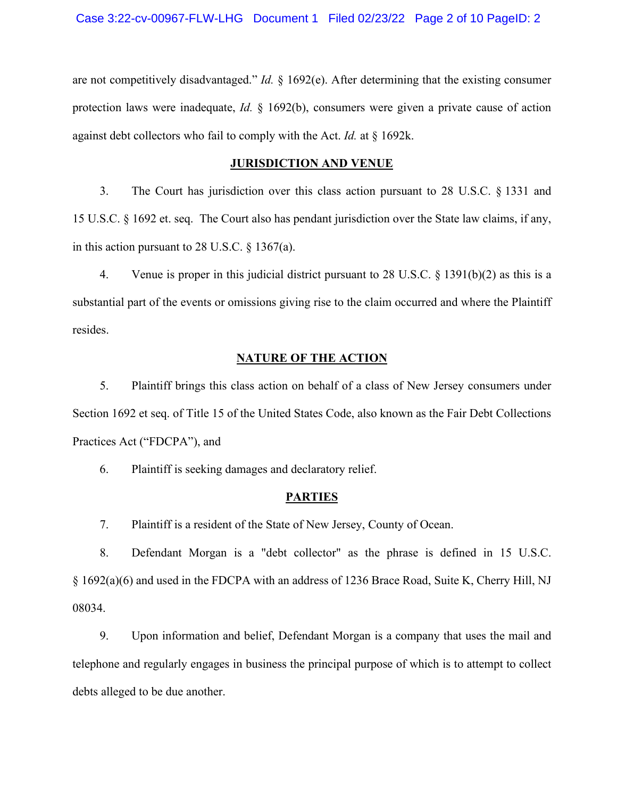are not competitively disadvantaged." *Id.* § 1692(e). After determining that the existing consumer protection laws were inadequate, *Id.* § 1692(b), consumers were given a private cause of action against debt collectors who fail to comply with the Act. *Id.* at § 1692k.

#### **JURISDICTION AND VENUE**

3. The Court has jurisdiction over this class action pursuant to 28 U.S.C. § 1331 and 15 U.S.C. § 1692 et. seq. The Court also has pendant jurisdiction over the State law claims, if any, in this action pursuant to 28 U.S.C. § 1367(a).

4. Venue is proper in this judicial district pursuant to 28 U.S.C. § 1391(b)(2) as this is a substantial part of the events or omissions giving rise to the claim occurred and where the Plaintiff resides.

## **NATURE OF THE ACTION**

5. Plaintiff brings this class action on behalf of a class of New Jersey consumers under Section 1692 et seq. of Title 15 of the United States Code, also known as the Fair Debt Collections Practices Act ("FDCPA"), and

6. Plaintiff is seeking damages and declaratory relief.

#### **PARTIES**

7. Plaintiff is a resident of the State of New Jersey, County of Ocean.

8. Defendant Morgan is a "debt collector" as the phrase is defined in 15 U.S.C. § 1692(a)(6) and used in the FDCPA with an address of 1236 Brace Road, Suite K, Cherry Hill, NJ 08034.

9. Upon information and belief, Defendant Morgan is a company that uses the mail and telephone and regularly engages in business the principal purpose of which is to attempt to collect debts alleged to be due another.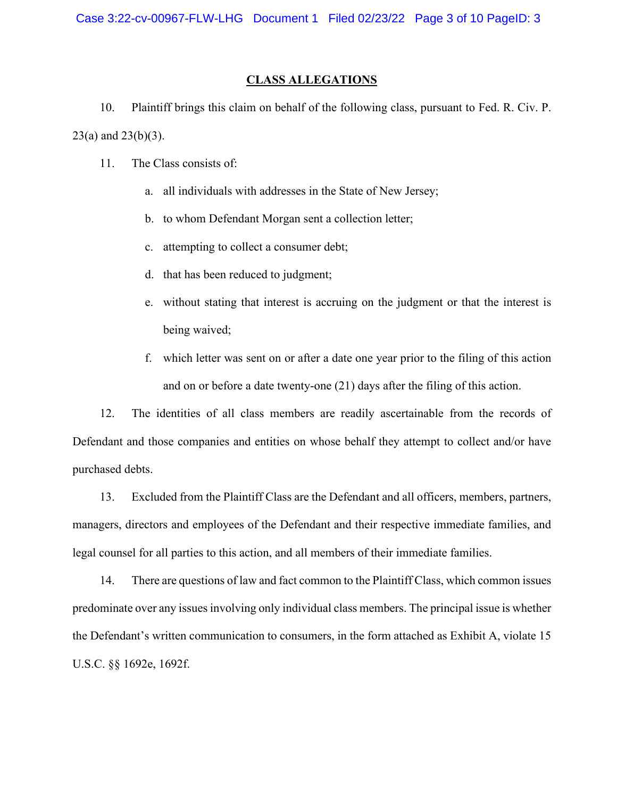### **CLASS ALLEGATIONS**

10. Plaintiff brings this claim on behalf of the following class, pursuant to Fed. R. Civ. P. 23(a) and 23(b)(3).

- 11. The Class consists of:
	- a. all individuals with addresses in the State of New Jersey;
	- b. to whom Defendant Morgan sent a collection letter;
	- c. attempting to collect a consumer debt;
	- d. that has been reduced to judgment;
	- e. without stating that interest is accruing on the judgment or that the interest is being waived;
	- f. which letter was sent on or after a date one year prior to the filing of this action and on or before a date twenty-one (21) days after the filing of this action.

12. The identities of all class members are readily ascertainable from the records of Defendant and those companies and entities on whose behalf they attempt to collect and/or have purchased debts.

13. Excluded from the Plaintiff Class are the Defendant and all officers, members, partners, managers, directors and employees of the Defendant and their respective immediate families, and legal counsel for all parties to this action, and all members of their immediate families.

14. There are questions of law and fact common to the Plaintiff Class, which common issues predominate over any issues involving only individual class members. The principal issue is whether the Defendant's written communication to consumers, in the form attached as Exhibit A, violate 15 U.S.C. §§ 1692e, 1692f.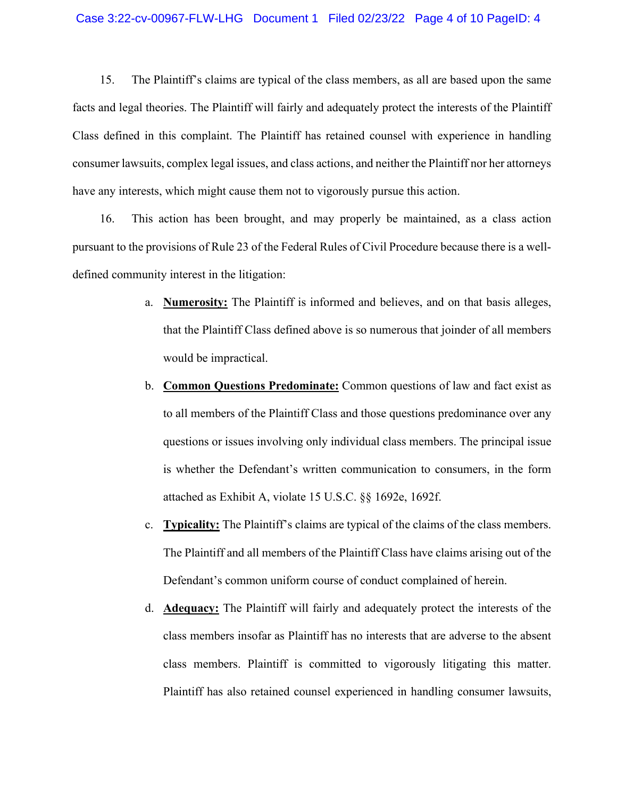15. The Plaintiff's claims are typical of the class members, as all are based upon the same facts and legal theories. The Plaintiff will fairly and adequately protect the interests of the Plaintiff Class defined in this complaint. The Plaintiff has retained counsel with experience in handling consumer lawsuits, complex legal issues, and class actions, and neither the Plaintiff nor her attorneys have any interests, which might cause them not to vigorously pursue this action.

16. This action has been brought, and may properly be maintained, as a class action pursuant to the provisions of Rule 23 of the Federal Rules of Civil Procedure because there is a welldefined community interest in the litigation:

- a. **Numerosity:** The Plaintiff is informed and believes, and on that basis alleges, that the Plaintiff Class defined above is so numerous that joinder of all members would be impractical.
- b. **Common Questions Predominate:** Common questions of law and fact exist as to all members of the Plaintiff Class and those questions predominance over any questions or issues involving only individual class members. The principal issue is whether the Defendant's written communication to consumers, in the form attached as Exhibit A, violate 15 U.S.C. §§ 1692e, 1692f.
- c. **Typicality:** The Plaintiff's claims are typical of the claims of the class members. The Plaintiff and all members of the Plaintiff Class have claims arising out of the Defendant's common uniform course of conduct complained of herein.
- d. **Adequacy:** The Plaintiff will fairly and adequately protect the interests of the class members insofar as Plaintiff has no interests that are adverse to the absent class members. Plaintiff is committed to vigorously litigating this matter. Plaintiff has also retained counsel experienced in handling consumer lawsuits,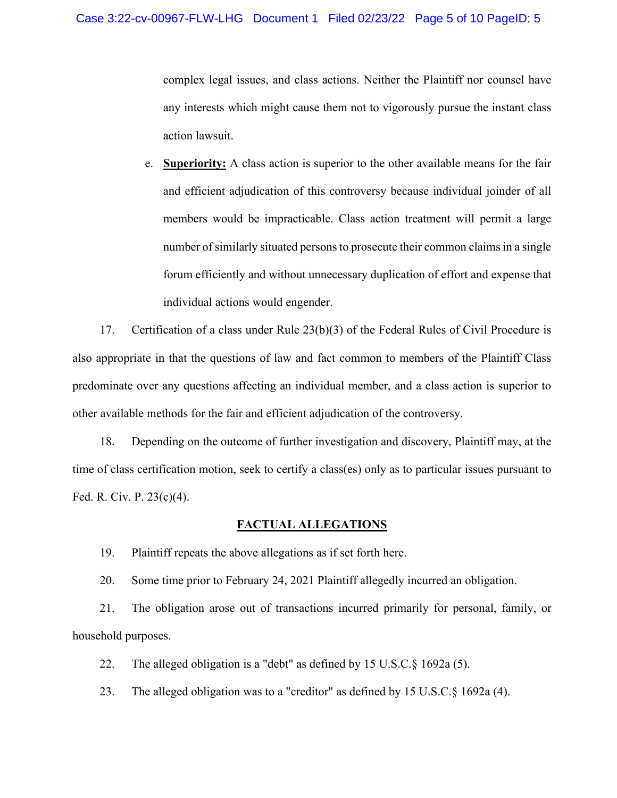complex legal issues, and class actions. Neither the Plaintiff nor counsel have any interests which might cause them not to vigorously pursue the instant class action lawsuit.

e. **Superiority:** A class action is superior to the other available means for the fair and efficient adjudication of this controversy because individual joinder of all members would be impracticable. Class action treatment will permit a large number of similarly situated persons to prosecute their common claims in a single forum efficiently and without unnecessary duplication of effort and expense that individual actions would engender.

17. Certification of a class under Rule 23(b)(3) of the Federal Rules of Civil Procedure is also appropriate in that the questions of law and fact common to members of the Plaintiff Class predominate over any questions affecting an individual member, and a class action is superior to other available methods for the fair and efficient adjudication of the controversy.

18. Depending on the outcome of further investigation and discovery, Plaintiff may, at the time of class certification motion, seek to certify a class(es) only as to particular issues pursuant to Fed. R. Civ. P. 23(c)(4).

### **FACTUAL ALLEGATIONS**

19. Plaintiff repeats the above allegations as if set forth here.

20. Some time prior to February 24, 2021 Plaintiff allegedly incurred an obligation.

21. The obligation arose out of transactions incurred primarily for personal, family, or household purposes.

22. The alleged obligation is a "debt" as defined by 15 U.S.C.§ 1692a (5).

23. The alleged obligation was to a "creditor" as defined by 15 U.S.C.§ 1692a (4).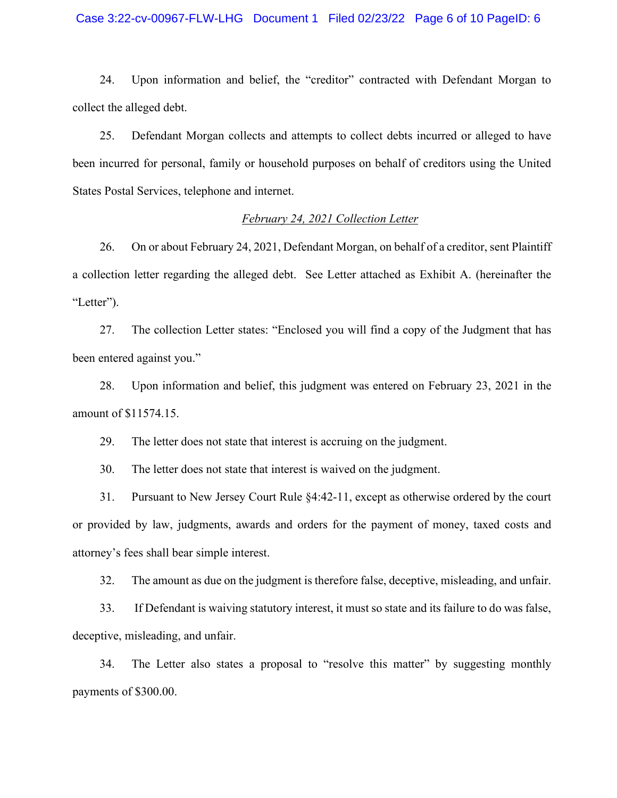### Case 3:22-cv-00967-FLW-LHG Document 1 Filed 02/23/22 Page 6 of 10 PageID: 6

24. Upon information and belief, the "creditor" contracted with Defendant Morgan to collect the alleged debt.

25. Defendant Morgan collects and attempts to collect debts incurred or alleged to have been incurred for personal, family or household purposes on behalf of creditors using the United States Postal Services, telephone and internet.

## *February 24, 2021 Collection Letter*

26. On or about February 24, 2021, Defendant Morgan, on behalf of a creditor, sent Plaintiff a collection letter regarding the alleged debt. See Letter attached as Exhibit A. (hereinafter the "Letter").

27. The collection Letter states: "Enclosed you will find a copy of the Judgment that has been entered against you."

28. Upon information and belief, this judgment was entered on February 23, 2021 in the amount of \$11574.15.

29. The letter does not state that interest is accruing on the judgment.

30. The letter does not state that interest is waived on the judgment.

31. Pursuant to New Jersey Court Rule §4:42-11, except as otherwise ordered by the court or provided by law, judgments, awards and orders for the payment of money, taxed costs and attorney's fees shall bear simple interest.

32. The amount as due on the judgment is therefore false, deceptive, misleading, and unfair.

33. If Defendant is waiving statutory interest, it must so state and its failure to do was false, deceptive, misleading, and unfair.

34. The Letter also states a proposal to "resolve this matter" by suggesting monthly payments of \$300.00.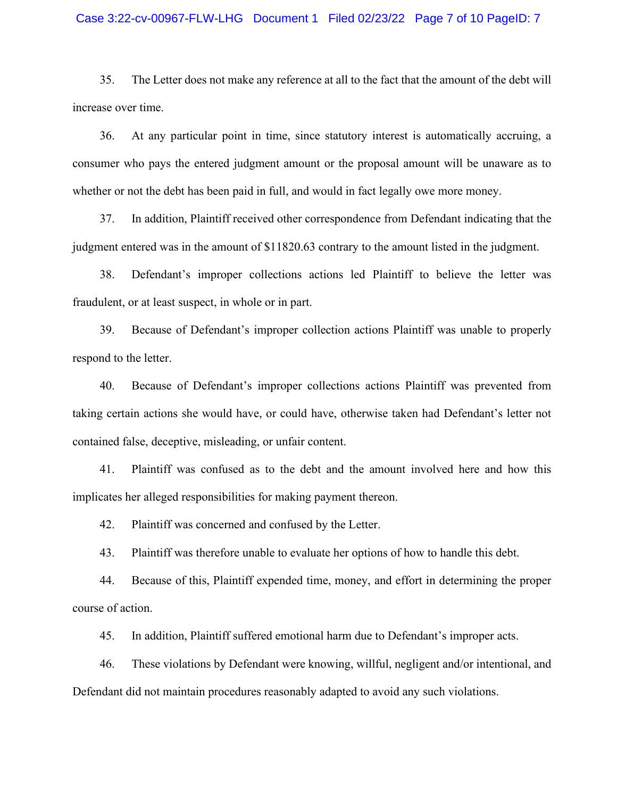#### Case 3:22-cv-00967-FLW-LHG Document 1 Filed 02/23/22 Page 7 of 10 PageID: 7

35. The Letter does not make any reference at all to the fact that the amount of the debt will increase over time.

36. At any particular point in time, since statutory interest is automatically accruing, a consumer who pays the entered judgment amount or the proposal amount will be unaware as to whether or not the debt has been paid in full, and would in fact legally owe more money.

37. In addition, Plaintiff received other correspondence from Defendant indicating that the judgment entered was in the amount of \$11820.63 contrary to the amount listed in the judgment.

38. Defendant's improper collections actions led Plaintiff to believe the letter was fraudulent, or at least suspect, in whole or in part.

39. Because of Defendant's improper collection actions Plaintiff was unable to properly respond to the letter.

40. Because of Defendant's improper collections actions Plaintiff was prevented from taking certain actions she would have, or could have, otherwise taken had Defendant's letter not contained false, deceptive, misleading, or unfair content.

41. Plaintiff was confused as to the debt and the amount involved here and how this implicates her alleged responsibilities for making payment thereon.

42. Plaintiff was concerned and confused by the Letter.

43. Plaintiff was therefore unable to evaluate her options of how to handle this debt.

44. Because of this, Plaintiff expended time, money, and effort in determining the proper course of action.

45. In addition, Plaintiff suffered emotional harm due to Defendant's improper acts.

46. These violations by Defendant were knowing, willful, negligent and/or intentional, and Defendant did not maintain procedures reasonably adapted to avoid any such violations.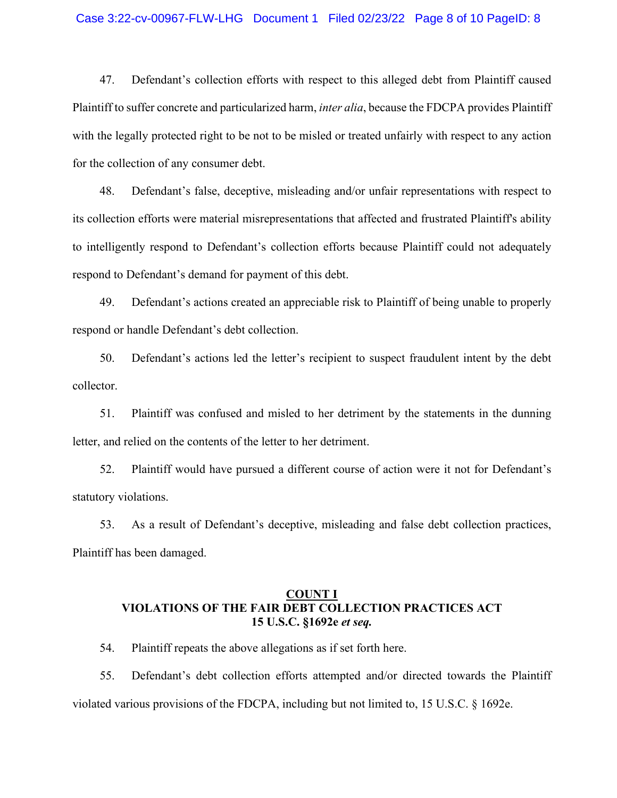#### Case 3:22-cv-00967-FLW-LHG Document 1 Filed 02/23/22 Page 8 of 10 PageID: 8

47. Defendant's collection efforts with respect to this alleged debt from Plaintiff caused Plaintiff to suffer concrete and particularized harm, *inter alia*, because the FDCPA provides Plaintiff with the legally protected right to be not to be misled or treated unfairly with respect to any action for the collection of any consumer debt.

48. Defendant's false, deceptive, misleading and/or unfair representations with respect to its collection efforts were material misrepresentations that affected and frustrated Plaintiff's ability to intelligently respond to Defendant's collection efforts because Plaintiff could not adequately respond to Defendant's demand for payment of this debt.

49. Defendant's actions created an appreciable risk to Plaintiff of being unable to properly respond or handle Defendant's debt collection.

50. Defendant's actions led the letter's recipient to suspect fraudulent intent by the debt collector.

51. Plaintiff was confused and misled to her detriment by the statements in the dunning letter, and relied on the contents of the letter to her detriment.

52. Plaintiff would have pursued a different course of action were it not for Defendant's statutory violations.

53. As a result of Defendant's deceptive, misleading and false debt collection practices, Plaintiff has been damaged.

# **COUNT I VIOLATIONS OF THE FAIR DEBT COLLECTION PRACTICES ACT 15 U.S.C. §1692e** *et seq.*

54. Plaintiff repeats the above allegations as if set forth here.

55. Defendant's debt collection efforts attempted and/or directed towards the Plaintiff violated various provisions of the FDCPA, including but not limited to, 15 U.S.C. § 1692e.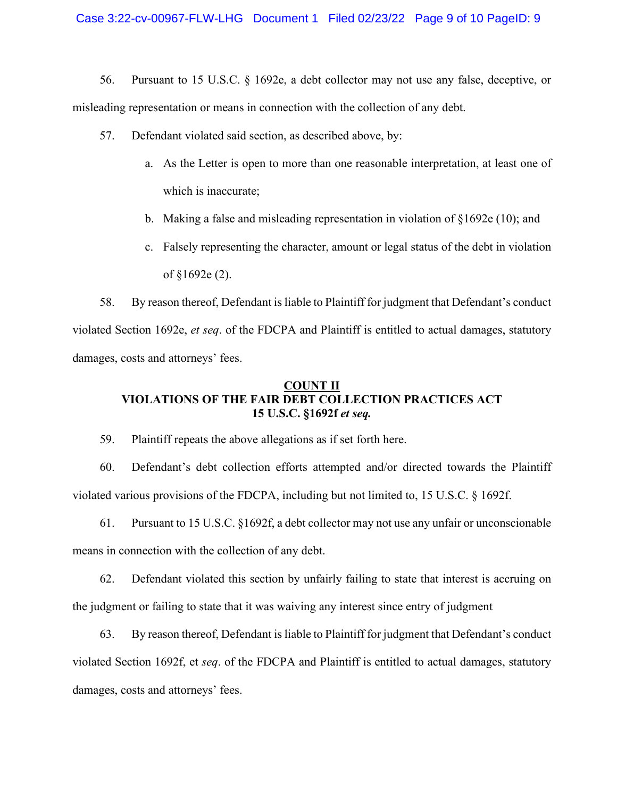56. Pursuant to 15 U.S.C. § 1692e, a debt collector may not use any false, deceptive, or misleading representation or means in connection with the collection of any debt.

- 57. Defendant violated said section, as described above, by:
	- a. As the Letter is open to more than one reasonable interpretation, at least one of which is inaccurate;
	- b. Making a false and misleading representation in violation of §1692e (10); and
	- c. Falsely representing the character, amount or legal status of the debt in violation of §1692e (2).

58. By reason thereof, Defendant isliable to Plaintiff for judgment that Defendant's conduct violated Section 1692e, *et seq*. of the FDCPA and Plaintiff is entitled to actual damages, statutory damages, costs and attorneys' fees.

# **COUNT II VIOLATIONS OF THE FAIR DEBT COLLECTION PRACTICES ACT 15 U.S.C. §1692f** *et seq.*

59. Plaintiff repeats the above allegations as if set forth here.

60. Defendant's debt collection efforts attempted and/or directed towards the Plaintiff violated various provisions of the FDCPA, including but not limited to, 15 U.S.C. § 1692f.

61. Pursuant to 15 U.S.C. §1692f, a debt collector may not use any unfair or unconscionable means in connection with the collection of any debt.

62. Defendant violated this section by unfairly failing to state that interest is accruing on the judgment or failing to state that it was waiving any interest since entry of judgment

63. By reason thereof, Defendant isliable to Plaintiff for judgment that Defendant's conduct violated Section 1692f, et *seq*. of the FDCPA and Plaintiff is entitled to actual damages, statutory damages, costs and attorneys' fees.